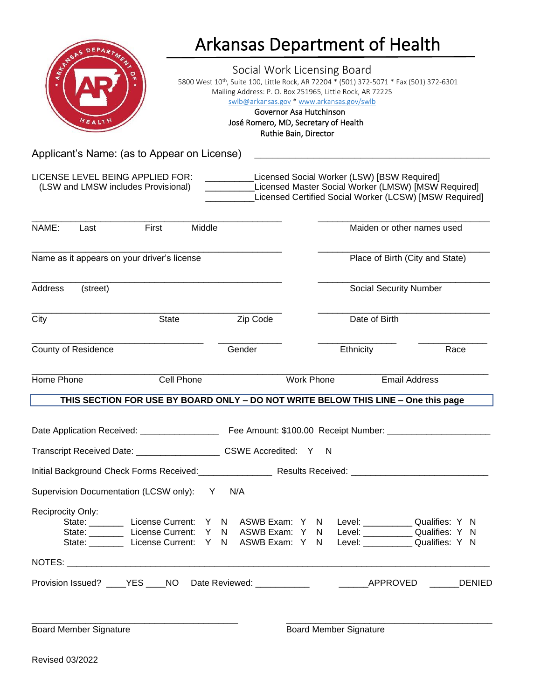|                                                                         |                               |                                                                       |        |                                                                                                                                                              |                                                                                                                                             |                                 |  |  | <b>Arkansas Department of Health</b>                                                                                                                                                                                                      |                      |  |      |
|-------------------------------------------------------------------------|-------------------------------|-----------------------------------------------------------------------|--------|--------------------------------------------------------------------------------------------------------------------------------------------------------------|---------------------------------------------------------------------------------------------------------------------------------------------|---------------------------------|--|--|-------------------------------------------------------------------------------------------------------------------------------------------------------------------------------------------------------------------------------------------|----------------------|--|------|
| ARKNAN                                                                  |                               |                                                                       |        |                                                                                                                                                              | Social Work Licensing Board<br>swlb@arkansas.gov * www.arkansas.gov/swlb<br>Governor Asa Hutchinson<br>José Romero, MD, Secretary of Health | Ruthie Bain, Director           |  |  | 5800 West 10th, Suite 100, Little Rock, AR 72204 * (501) 372-5071 * Fax (501) 372-6301<br>Mailing Address: P. O. Box 251965, Little Rock, AR 72225                                                                                        |                      |  |      |
|                                                                         |                               | Applicant's Name: (as to Appear on License)                           |        |                                                                                                                                                              |                                                                                                                                             |                                 |  |  |                                                                                                                                                                                                                                           |                      |  |      |
| LICENSE LEVEL BEING APPLIED FOR:<br>(LSW and LMSW includes Provisional) |                               |                                                                       |        | Licensed Social Worker (LSW) [BSW Required]<br>Licensed Master Social Worker (LMSW) [MSW Required]<br>Licensed Certified Social Worker (LCSW) [MSW Required] |                                                                                                                                             |                                 |  |  |                                                                                                                                                                                                                                           |                      |  |      |
| NAME:                                                                   | Last                          | First                                                                 | Middle |                                                                                                                                                              |                                                                                                                                             |                                 |  |  | Maiden or other names used                                                                                                                                                                                                                |                      |  |      |
| Name as it appears on your driver's license                             |                               |                                                                       |        |                                                                                                                                                              |                                                                                                                                             | Place of Birth (City and State) |  |  |                                                                                                                                                                                                                                           |                      |  |      |
| Address<br>(street)                                                     |                               |                                                                       |        | <b>Social Security Number</b>                                                                                                                                |                                                                                                                                             |                                 |  |  |                                                                                                                                                                                                                                           |                      |  |      |
| City                                                                    |                               | <b>State</b>                                                          |        |                                                                                                                                                              | Zip Code                                                                                                                                    |                                 |  |  | Date of Birth                                                                                                                                                                                                                             |                      |  |      |
| <b>County of Residence</b>                                              |                               |                                                                       |        |                                                                                                                                                              | Gender                                                                                                                                      |                                 |  |  | Ethnicity                                                                                                                                                                                                                                 |                      |  | Race |
| Home Phone                                                              |                               | Cell Phone                                                            |        |                                                                                                                                                              |                                                                                                                                             | <b>Work Phone</b>               |  |  |                                                                                                                                                                                                                                           | <b>Email Address</b> |  |      |
|                                                                         |                               |                                                                       |        |                                                                                                                                                              |                                                                                                                                             |                                 |  |  | THIS SECTION FOR USE BY BOARD ONLY - DO NOT WRITE BELOW THIS LINE - One this page                                                                                                                                                         |                      |  |      |
|                                                                         |                               |                                                                       |        |                                                                                                                                                              |                                                                                                                                             |                                 |  |  |                                                                                                                                                                                                                                           |                      |  |      |
|                                                                         |                               | Transcript Received Date: ______________________ CSWE Accredited: Y N |        |                                                                                                                                                              |                                                                                                                                             |                                 |  |  |                                                                                                                                                                                                                                           |                      |  |      |
|                                                                         |                               |                                                                       |        |                                                                                                                                                              |                                                                                                                                             |                                 |  |  |                                                                                                                                                                                                                                           |                      |  |      |
|                                                                         |                               | Supervision Documentation (LCSW only): Y                              |        |                                                                                                                                                              | N/A                                                                                                                                         |                                 |  |  |                                                                                                                                                                                                                                           |                      |  |      |
| Reciprocity Only:                                                       |                               |                                                                       |        |                                                                                                                                                              |                                                                                                                                             |                                 |  |  | State: License Current: Y N ASWB Exam: Y N Level: ___________ Qualifies: Y N<br>State: _________ License Current: Y N ASWB Exam: Y N Level: __________ Qualifies: Y N<br>State: License Current: Y N ASWB Exam: Y N Level: Qualifies: Y N |                      |  |      |
|                                                                         |                               |                                                                       |        |                                                                                                                                                              |                                                                                                                                             |                                 |  |  |                                                                                                                                                                                                                                           |                      |  |      |
|                                                                         |                               |                                                                       |        |                                                                                                                                                              |                                                                                                                                             |                                 |  |  | Provision Issued? ____YES ____NO Date Reviewed: ____________    ______APPROVED ______DENIED                                                                                                                                               |                      |  |      |
|                                                                         | <b>Board Member Signature</b> |                                                                       |        |                                                                                                                                                              |                                                                                                                                             |                                 |  |  | <b>Board Member Signature</b>                                                                                                                                                                                                             |                      |  |      |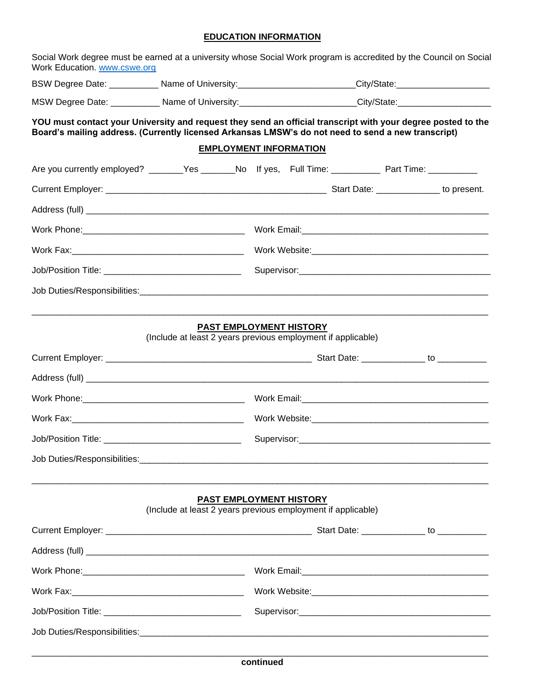# **EDUCATION INFORMATION**

| Work Education. www.cswe.org | Social Work degree must be earned at a university whose Social Work program is accredited by the Council on Social                                                                                                 |                                                                                                            |  |  |  |  |  |  |
|------------------------------|--------------------------------------------------------------------------------------------------------------------------------------------------------------------------------------------------------------------|------------------------------------------------------------------------------------------------------------|--|--|--|--|--|--|
|                              |                                                                                                                                                                                                                    | BSW Degree Date: ____________ Name of University:_________________________City/State:_____________________ |  |  |  |  |  |  |
|                              |                                                                                                                                                                                                                    | MSW Degree Date: ____________ Name of University:_________________________City/State:_____________________ |  |  |  |  |  |  |
|                              | YOU must contact your University and request they send an official transcript with your degree posted to the<br>Board's mailing address. (Currently licensed Arkansas LMSW's do not need to send a new transcript) | <b>EMPLOYMENT INFORMATION</b>                                                                              |  |  |  |  |  |  |
|                              | Are you currently employed? _______Yes _______No If yes, Full Time: ____________ Part Time: ________                                                                                                               |                                                                                                            |  |  |  |  |  |  |
|                              |                                                                                                                                                                                                                    |                                                                                                            |  |  |  |  |  |  |
|                              |                                                                                                                                                                                                                    |                                                                                                            |  |  |  |  |  |  |
|                              |                                                                                                                                                                                                                    |                                                                                                            |  |  |  |  |  |  |
|                              |                                                                                                                                                                                                                    |                                                                                                            |  |  |  |  |  |  |
|                              |                                                                                                                                                                                                                    |                                                                                                            |  |  |  |  |  |  |
|                              |                                                                                                                                                                                                                    |                                                                                                            |  |  |  |  |  |  |
|                              | (Include at least 2 years previous employment if applicable)                                                                                                                                                       | <b>PAST EMPLOYMENT HISTORY</b>                                                                             |  |  |  |  |  |  |
|                              |                                                                                                                                                                                                                    |                                                                                                            |  |  |  |  |  |  |
|                              |                                                                                                                                                                                                                    |                                                                                                            |  |  |  |  |  |  |
|                              |                                                                                                                                                                                                                    |                                                                                                            |  |  |  |  |  |  |
|                              |                                                                                                                                                                                                                    |                                                                                                            |  |  |  |  |  |  |
|                              |                                                                                                                                                                                                                    |                                                                                                            |  |  |  |  |  |  |
|                              | (Include at least 2 years previous employment if applicable)                                                                                                                                                       | PAST EMPLOYMENT HISTORY                                                                                    |  |  |  |  |  |  |
|                              |                                                                                                                                                                                                                    |                                                                                                            |  |  |  |  |  |  |
|                              |                                                                                                                                                                                                                    |                                                                                                            |  |  |  |  |  |  |
|                              |                                                                                                                                                                                                                    |                                                                                                            |  |  |  |  |  |  |
|                              |                                                                                                                                                                                                                    |                                                                                                            |  |  |  |  |  |  |
|                              |                                                                                                                                                                                                                    |                                                                                                            |  |  |  |  |  |  |
|                              |                                                                                                                                                                                                                    |                                                                                                            |  |  |  |  |  |  |
|                              |                                                                                                                                                                                                                    |                                                                                                            |  |  |  |  |  |  |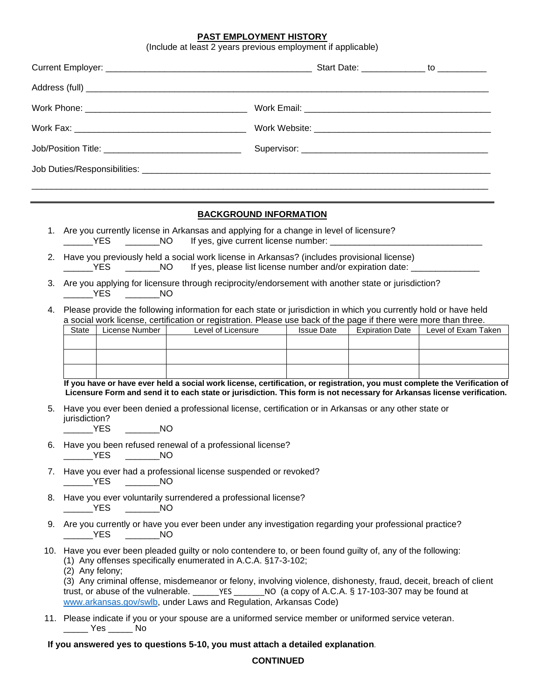## **PAST EMPLOYMENT HISTORY**

| (Include at least 2 years previous employment if applicable) |                                                                                                                                                                                                                                      |                |                                                                                                                                                                                                                                                                                                  |                   |                        |                     |  |  |  |  |
|--------------------------------------------------------------|--------------------------------------------------------------------------------------------------------------------------------------------------------------------------------------------------------------------------------------|----------------|--------------------------------------------------------------------------------------------------------------------------------------------------------------------------------------------------------------------------------------------------------------------------------------------------|-------------------|------------------------|---------------------|--|--|--|--|
|                                                              |                                                                                                                                                                                                                                      |                |                                                                                                                                                                                                                                                                                                  |                   |                        |                     |  |  |  |  |
|                                                              |                                                                                                                                                                                                                                      |                |                                                                                                                                                                                                                                                                                                  |                   |                        |                     |  |  |  |  |
|                                                              |                                                                                                                                                                                                                                      |                |                                                                                                                                                                                                                                                                                                  |                   |                        |                     |  |  |  |  |
|                                                              |                                                                                                                                                                                                                                      |                |                                                                                                                                                                                                                                                                                                  |                   |                        |                     |  |  |  |  |
|                                                              |                                                                                                                                                                                                                                      |                |                                                                                                                                                                                                                                                                                                  |                   |                        |                     |  |  |  |  |
|                                                              |                                                                                                                                                                                                                                      |                |                                                                                                                                                                                                                                                                                                  |                   |                        |                     |  |  |  |  |
|                                                              |                                                                                                                                                                                                                                      |                |                                                                                                                                                                                                                                                                                                  |                   |                        |                     |  |  |  |  |
|                                                              |                                                                                                                                                                                                                                      |                | <b>BACKGROUND INFORMATION</b>                                                                                                                                                                                                                                                                    |                   |                        |                     |  |  |  |  |
|                                                              | $\frac{1}{2}$ YES                                                                                                                                                                                                                    |                | 1. Are you currently license in Arkansas and applying for a change in level of licensure?<br>NO If yes, give current license number:                                                                                                                                                             |                   |                        |                     |  |  |  |  |
| 2.                                                           | Have you previously held a social work license in Arkansas? (includes provisional license)<br>________NO lf yes, please list license number and/or expiration date: ___________<br>$\rule{1em}{0.15mm}$ $\text{YES}$                 |                |                                                                                                                                                                                                                                                                                                  |                   |                        |                     |  |  |  |  |
| 3.                                                           | Are you applying for licensure through reciprocity/endorsement with another state or jurisdiction?<br>___________YES __________NO                                                                                                    |                |                                                                                                                                                                                                                                                                                                  |                   |                        |                     |  |  |  |  |
| 4.                                                           | Please provide the following information for each state or jurisdiction in which you currently hold or have held<br>a social work license, certification or registration. Please use back of the page if there were more than three. |                |                                                                                                                                                                                                                                                                                                  |                   |                        |                     |  |  |  |  |
|                                                              | <b>State</b>                                                                                                                                                                                                                         | License Number | <b>Level of Licensure</b><br><b>Contract Contract</b>                                                                                                                                                                                                                                            | <b>Issue Date</b> | <b>Expiration Date</b> | Level of Exam Taken |  |  |  |  |
|                                                              |                                                                                                                                                                                                                                      |                |                                                                                                                                                                                                                                                                                                  |                   |                        |                     |  |  |  |  |
|                                                              |                                                                                                                                                                                                                                      |                | If you have or have ever held a social work license, certification, or registration, you must complete the Verification of                                                                                                                                                                       |                   |                        |                     |  |  |  |  |
|                                                              |                                                                                                                                                                                                                                      |                | Licensure Form and send it to each state or jurisdiction. This form is not necessary for Arkansas license verification.                                                                                                                                                                          |                   |                        |                     |  |  |  |  |
| 5.                                                           | jurisdiction?<br><b>EXAMPLE</b>                                                                                                                                                                                                      | <b>NO</b>      | Have you ever been denied a professional license, certification or in Arkansas or any other state or                                                                                                                                                                                             |                   |                        |                     |  |  |  |  |
|                                                              | 6. Have you been refused renewal of a professional license?<br><b>EXAMPLE</b><br><b>NO</b>                                                                                                                                           |                |                                                                                                                                                                                                                                                                                                  |                   |                        |                     |  |  |  |  |
|                                                              | 7. Have you ever had a professional license suspended or revoked?<br><b>NO</b><br>__________YES                                                                                                                                      |                |                                                                                                                                                                                                                                                                                                  |                   |                        |                     |  |  |  |  |
| 8.                                                           | Have you ever voluntarily surrendered a professional license?<br>$\rule{1em}{0.15mm}$ YES<br>$\rule{1em}{0.15mm}$ NO                                                                                                                 |                |                                                                                                                                                                                                                                                                                                  |                   |                        |                     |  |  |  |  |
|                                                              | 9. Are you currently or have you ever been under any investigation regarding your professional practice?<br>__________YES<br>$\overline{\phantom{a}}$ NO                                                                             |                |                                                                                                                                                                                                                                                                                                  |                   |                        |                     |  |  |  |  |
|                                                              | (2) Any felony;                                                                                                                                                                                                                      |                | 10. Have you ever been pleaded guilty or nolo contendere to, or been found guilty of, any of the following:<br>(1) Any offenses specifically enumerated in A.C.A. §17-3-102;<br>(3) Any criminal offense, misdemeanor or felony, involving violence, dishonesty, fraud, deceit, breach of client |                   |                        |                     |  |  |  |  |
|                                                              |                                                                                                                                                                                                                                      |                | trust, or abuse of the vulnerable. _______YES _______NO (a copy of A.C.A. § 17-103-307 may be found at<br>www.arkansas.gov/swlb, under Laws and Regulation, Arkansas Code)                                                                                                                       |                   |                        |                     |  |  |  |  |

11. Please indicate if you or your spouse are a uniformed service member or uniformed service veteran. \_\_\_\_\_ Yes \_\_\_\_\_ No

# **If you answered yes to questions 5-10, you must attach a detailed explanation.**

## **CONTINUED**